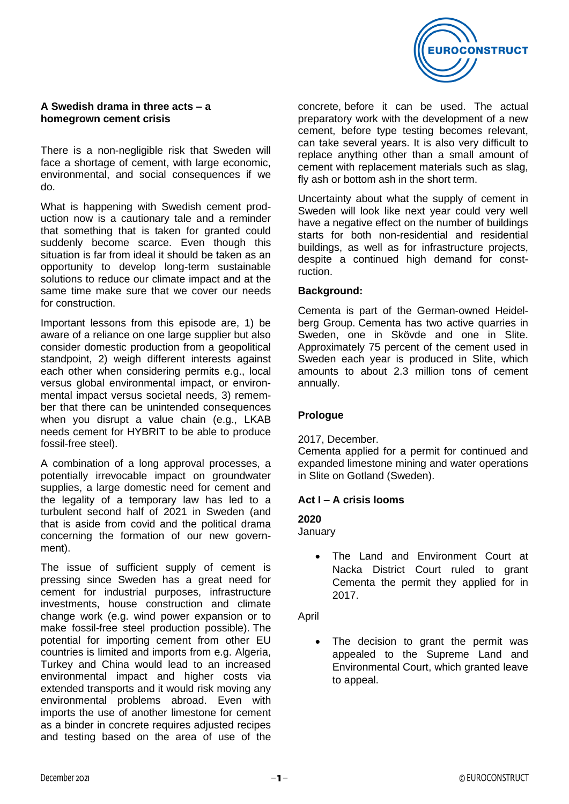

### **A Swedish drama in three acts – a homegrown cement crisis**

There is a non-negligible risk that Sweden will face a shortage of cement, with large economic. environmental, and social consequences if we do.

What is happening with Swedish cement production now is a cautionary tale and a reminder that something that is taken for granted could suddenly become scarce. Even though this situation is far from ideal it should be taken as an opportunity to develop long-term sustainable solutions to reduce our climate impact and at the same time make sure that we cover our needs for construction.

Important lessons from this episode are, 1) be aware of a reliance on one large supplier but also consider domestic production from a geopolitical standpoint, 2) weigh different interests against each other when considering permits e.g., local versus global environmental impact, or environmental impact versus societal needs, 3) remember that there can be unintended consequences when you disrupt a value chain (e.g., LKAB needs cement for HYBRIT to be able to produce fossil-free steel).

A combination of a long approval processes, a potentially irrevocable impact on groundwater supplies, a large domestic need for cement and the legality of a temporary law has led to a turbulent second half of 2021 in Sweden (and that is aside from covid and the political drama concerning the formation of our new government).

The issue of sufficient supply of cement is pressing since Sweden has a great need for cement for industrial purposes, infrastructure investments, house construction and climate change work (e.g. wind power expansion or to make fossil-free steel production possible). The potential for importing cement from other EU countries is limited and imports from e.g. Algeria, Turkey and China would lead to an increased environmental impact and higher costs via extended transports and it would risk moving any environmental problems abroad. Even with imports the use of another limestone for cement as a binder in concrete requires adjusted recipes and testing based on the area of use of the

concrete, before it can be used. The actual preparatory work with the development of a new cement, before type testing becomes relevant, can take several years. It is also very difficult to replace anything other than a small amount of cement with replacement materials such as slag, fly ash or bottom ash in the short term.

Uncertainty about what the supply of cement in Sweden will look like next year could very well have a negative effect on the number of buildings starts for both non-residential and residential buildings, as well as for infrastructure projects, despite a continued high demand for construction.

### **Background:**

Cementa is part of the German-owned Heidelberg Group. Cementa has two active quarries in Sweden, one in Skövde and one in Slite. Approximately 75 percent of the cement used in Sweden each year is produced in Slite, which amounts to about 2.3 million tons of cement annually.

### **Prologue**

### 2017, December.

Cementa applied for a permit for continued and expanded limestone mining and water operations in Slite on Gotland (Sweden).

### **Act I – A crisis looms**

# **2020**

January

The Land and Environment Court at Nacka District Court ruled to grant Cementa the permit they applied for in 2017.

April

• The decision to grant the permit was appealed to the Supreme Land and Environmental Court, which granted leave to appeal.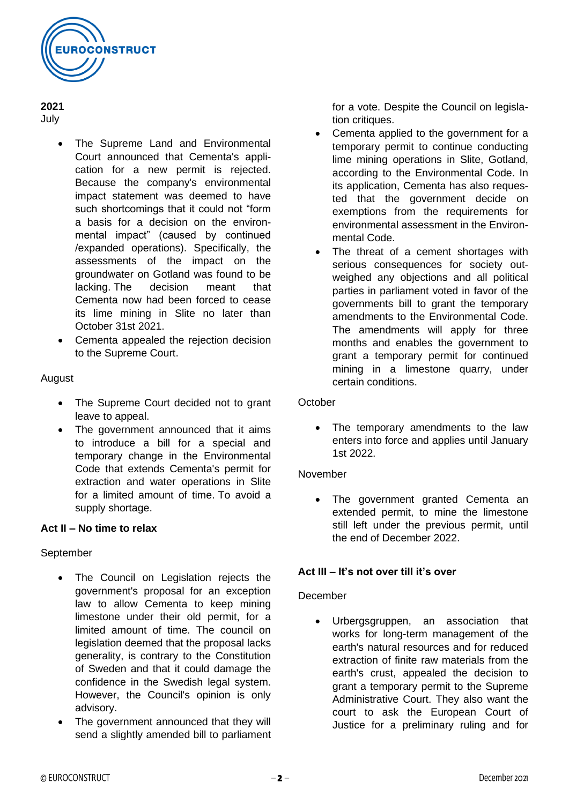

**2021** July

- The Supreme Land and Environmental Court announced that Cementa's application for a new permit is rejected. Because the company's environmental impact statement was deemed to have such shortcomings that it could not "form a basis for a decision on the environmental impact" (caused by continued /expanded operations). Specifically, the assessments of the impact on the groundwater on Gotland was found to be lacking. The decision meant that Cementa now had been forced to cease its lime mining in Slite no later than October 31st 2021.
- Cementa appealed the rejection decision to the Supreme Court.

## August

- The Supreme Court decided not to grant leave to appeal.
- The government announced that it aims to introduce a bill for a special and temporary change in the Environmental Code that extends Cementa's permit for extraction and water operations in Slite for a limited amount of time. To avoid a supply shortage.

## **Act II – No time to relax**

## September

- The Council on Legislation rejects the government's proposal for an exception law to allow Cementa to keep mining limestone under their old permit, for a limited amount of time. The council on legislation deemed that the proposal lacks generality, is contrary to the Constitution of Sweden and that it could damage the confidence in the Swedish legal system. However, the Council's opinion is only advisory.
- The government announced that they will send a slightly amended bill to parliament

for a vote. Despite the Council on legislation critiques.

- Cementa applied to the government for a temporary permit to continue conducting lime mining operations in Slite, Gotland, according to the Environmental Code. In its application, Cementa has also requested that the government decide on exemptions from the requirements for environmental assessment in the Environmental Code.
- The threat of a cement shortages with serious consequences for society outweighed any objections and all political parties in parliament voted in favor of the governments bill to grant the temporary amendments to the Environmental Code. The amendments will apply for three months and enables the government to grant a temporary permit for continued mining in a limestone quarry, under certain conditions.

### **October**

• The temporary amendments to the law enters into force and applies until January 1st 2022.

### November

• The government granted Cementa an extended permit, to mine the limestone still left under the previous permit, until the end of December 2022.

## **Act III – It's not over till it's over**

### December

• Urbergsgruppen, an association that works for long-term management of the earth's natural resources and for reduced extraction of finite raw materials from the earth's crust, appealed the decision to grant a temporary permit to the Supreme Administrative Court. They also want the court to ask the European Court of Justice for a preliminary ruling and for